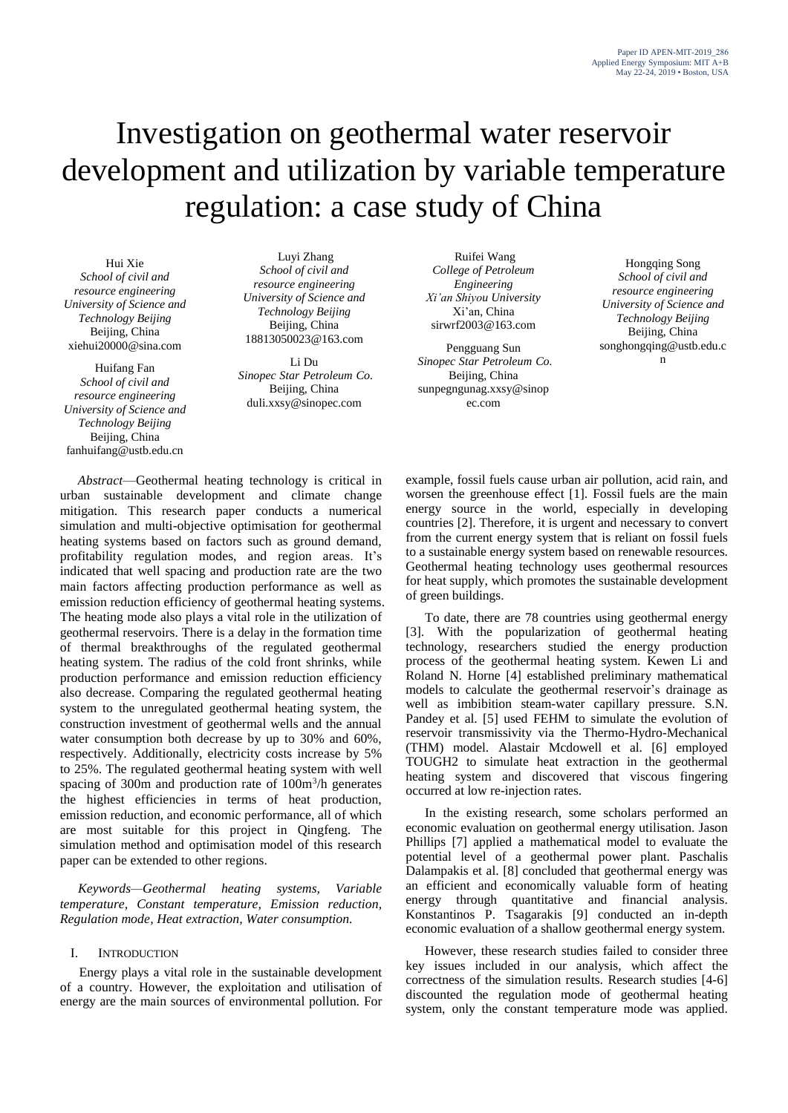# Investigation on geothermal water reservoir development and utilization by variable temperature regulation: a case study of China

Hui Xie *School of civil and resource engineering University of Science and Technology Beijing* Beijing, China xiehui20000@sina.com

Huifang Fan *School of civil and resource engineering University of Science and Technology Beijing* Beijing, China fanhuifang@ustb.edu.cn

Luyi Zhang *School of civil and resource engineering University of Science and Technology Beijing* Beijing, China 18813050023@163.com

Li Du *Sinopec Star Petroleum Co.* Beijing, China duli.xxsy@sinopec.com

*Abstract*—Geothermal heating technology is critical in urban sustainable development and climate change mitigation. This research paper conducts a numerical simulation and multi-objective optimisation for geothermal heating systems based on factors such as ground demand, profitability regulation modes, and region areas. It's indicated that well spacing and production rate are the two main factors affecting production performance as well as emission reduction efficiency of geothermal heating systems. The heating mode also plays a vital role in the utilization of geothermal reservoirs. There is a delay in the formation time of thermal breakthroughs of the regulated geothermal heating system. The radius of the cold front shrinks, while production performance and emission reduction efficiency also decrease. Comparing the regulated geothermal heating system to the unregulated geothermal heating system, the construction investment of geothermal wells and the annual water consumption both decrease by up to 30% and 60%, respectively. Additionally, electricity costs increase by 5% to 25%. The regulated geothermal heating system with well spacing of 300m and production rate of  $100m<sup>3</sup>/h$  generates the highest efficiencies in terms of heat production, emission reduction, and economic performance, all of which are most suitable for this project in Qingfeng. The simulation method and optimisation model of this research paper can be extended to other regions.

*Keywords—Geothermal heating systems, Variable temperature, Constant temperature, Emission reduction, Regulation mode, Heat extraction, Water consumption.*

# I. INTRODUCTION

Energy plays a vital role in the sustainable development of a country. However, the exploitation and utilisation of energy are the main sources of environmental pollution. For

Ruifei Wang *College of Petroleum Engineering Xi'an Shiyou University* Xi'an, China sirwrf2003@163.com

Pengguang Sun *Sinopec Star Petroleum Co.* Beijing, China sunpegngunag.xxsy@sinop ec.com

Hongqing Song *School of civil and resource engineering University of Science and Technology Beijing* Beijing, China songhongqing@ustb.edu.c n

example, fossil fuels cause urban air pollution, acid rain, and worsen the greenhouse effect [1]. Fossil fuels are the main energy source in the world, especially in developing countries [2]. Therefore, it is urgent and necessary to convert from the current energy system that is reliant on fossil fuels to a sustainable energy system based on renewable resources. Geothermal heating technology uses geothermal resources for heat supply, which promotes the sustainable development of green buildings.

To date, there are 78 countries using geothermal energy [3]. With the popularization of geothermal heating technology, researchers studied the energy production process of the geothermal heating system. Kewen Li and Roland N. Horne [4] established preliminary mathematical models to calculate the geothermal reservoir's drainage as well as imbibition steam-water capillary pressure. S.N. Pandey et al. [5] used FEHM to simulate the evolution of reservoir transmissivity via the Thermo-Hydro-Mechanical (THM) model. Alastair Mcdowell et al. [6] employed TOUGH2 to simulate heat extraction in the geothermal heating system and discovered that viscous fingering occurred at low re-injection rates.

In the existing research, some scholars performed an economic evaluation on geothermal energy utilisation. Jason Phillips [7] applied a mathematical model to evaluate the potential level of a geothermal power plant. Paschalis Dalampakis et al. [8] concluded that geothermal energy was an efficient and economically valuable form of heating energy through quantitative and financial analysis. Konstantinos P. Tsagarakis [9] conducted an in-depth economic evaluation of a shallow geothermal energy system.

However, these research studies failed to consider three key issues included in our analysis, which affect the correctness of the simulation results. Research studies [4-6] discounted the regulation mode of geothermal heating system, only the constant temperature mode was applied.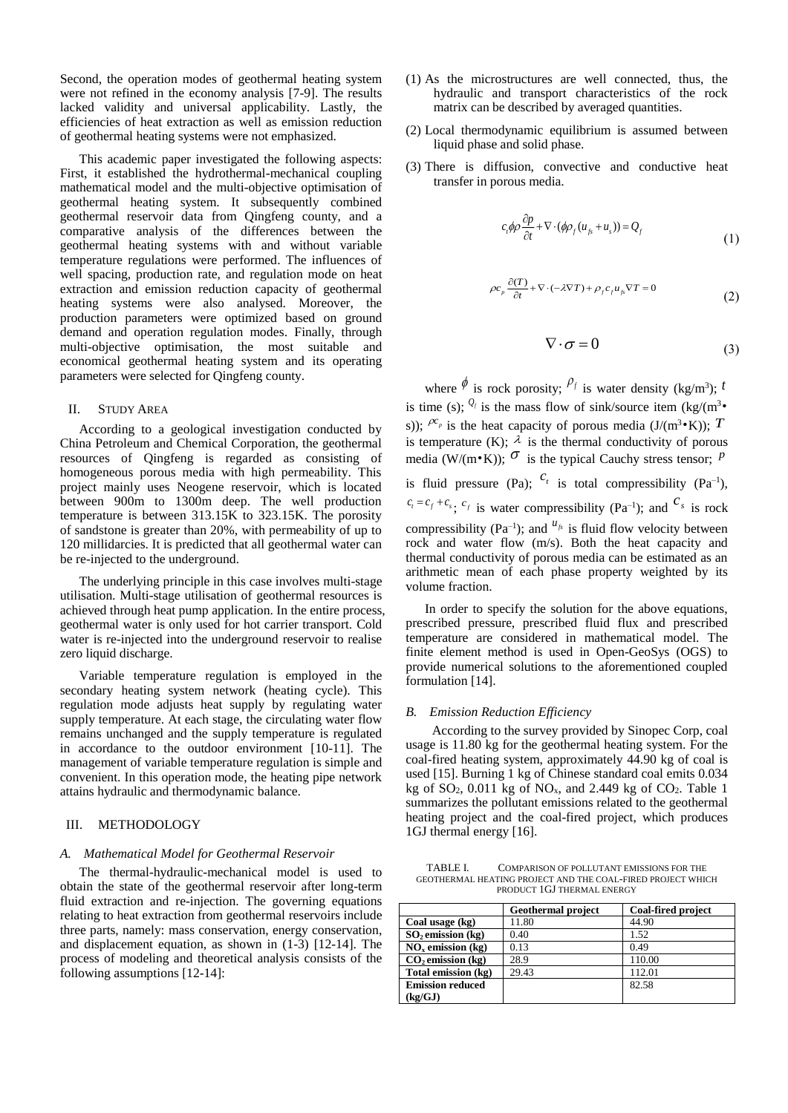Second, the operation modes of geothermal heating system were not refined in the economy analysis [7-9]. The results lacked validity and universal applicability. Lastly, the efficiencies of heat extraction as well as emission reduction of geothermal heating systems were not emphasized.

This academic paper investigated the following aspects: First, it established the hydrothermal-mechanical coupling mathematical model and the multi-objective optimisation of geothermal heating system. It subsequently combined geothermal reservoir data from Qingfeng county, and a comparative analysis of the differences between the geothermal heating systems with and without variable temperature regulations were performed. The influences of well spacing, production rate, and regulation mode on heat extraction and emission reduction capacity of geothermal heating systems were also analysed. Moreover, the production parameters were optimized based on ground demand and operation regulation modes. Finally, through multi-objective optimisation, the most suitable and economical geothermal heating system and its operating parameters were selected for Qingfeng county.

# II. STUDY AREA

According to a geological investigation conducted by China Petroleum and Chemical Corporation, the geothermal resources of Qingfeng is regarded as consisting of homogeneous porous media with high permeability. This project mainly uses Neogene reservoir, which is located between 900m to 1300m deep. The well production temperature is between 313.15K to 323.15K. The porosity of sandstone is greater than 20%, with permeability of up to 120 millidarcies. It is predicted that all geothermal water can be re-injected to the underground.

The underlying principle in this case involves multi-stage utilisation. Multi-stage utilisation of geothermal resources is achieved through heat pump application. In the entire process, geothermal water is only used for hot carrier transport. Cold water is re-injected into the underground reservoir to realise zero liquid discharge.

Variable temperature regulation is employed in the secondary heating system network (heating cycle). This regulation mode adjusts heat supply by regulating water supply temperature. At each stage, the circulating water flow remains unchanged and the supply temperature is regulated in accordance to the outdoor environment [10-11]. The management of variable temperature regulation is simple and convenient. In this operation mode, the heating pipe network attains hydraulic and thermodynamic balance.

# III. METHODOLOGY

### *A. Mathematical Model for Geothermal Reservoir*

The thermal-hydraulic-mechanical model is used to obtain the state of the geothermal reservoir after long-term fluid extraction and re-injection. The governing equations relating to heat extraction from geothermal reservoirs include three parts, namely: mass conservation, energy conservation, and displacement equation, as shown in (1-3) [12-14]. The process of modeling and theoretical analysis consists of the following assumptions [12-14]:

- (1) As the microstructures are well connected, thus, the hydraulic and transport characteristics of the rock matrix can be described by averaged quantities.
- (2) Local thermodynamic equilibrium is assumed between liquid phase and solid phase.
- (3) There is diffusion, convective and conductive heat transfer in porous media.

$$
c_{i}\phi\rho\frac{\partial p}{\partial t} + \nabla\cdot(\phi\rho_{f}(u_{f_{s}}+u_{s})) = Q_{f}
$$
\n(1)

$$
\rho c_p \frac{\partial (T)}{\partial t} + \nabla \cdot (-\lambda \nabla T) + \rho_f c_f u_{fs} \nabla T = 0
$$
\n(2)

$$
\nabla \cdot \sigma = 0 \tag{3}
$$

where  $\phi$  is rock porosity;  $\rho_f$  is water density (kg/m<sup>3</sup>); t is time (s);  $\mathcal{Q}_f$  is the mass flow of sink/source item (kg/(m<sup>3</sup>• s));  $^{pc_p}$  is the heat capacity of porous media (J/(m<sup>3</sup>•K)); T is temperature (K);  $\lambda$  is the thermal conductivity of porous media (W/(m $\cdot$ K));  $\sigma$  is the typical Cauchy stress tensor; P is fluid pressure (Pa);  $c_t$  is total compressibility (Pa<sup>-1</sup>),  $c_t = c_f + c_s$ ;  $c_f$  is water compressibility (Pa<sup>-1</sup>); and  $c_s$  is rock compressibility ( $Pa^{-1}$ ); and  $u_{fs}$  is fluid flow velocity between rock and water flow (m/s). Both the heat capacity and thermal conductivity of porous media can be estimated as an arithmetic mean of each phase property weighted by its volume fraction.

In order to specify the solution for the above equations, prescribed pressure, prescribed fluid flux and prescribed temperature are considered in mathematical model. The finite element method is used in Open-GeoSys (OGS) to provide numerical solutions to the aforementioned coupled formulation [14].

# *B. Emission Reduction Efficiency*

According to the survey provided by Sinopec Corp, coal usage is 11.80 kg for the geothermal heating system. For the coal-fired heating system, approximately 44.90 kg of coal is used [15]. Burning 1 kg of Chinese standard coal emits 0.034 kg of  $SO_2$ , 0.011 kg of  $NO_x$ , and 2.449 kg of  $CO_2$ . Table 1 summarizes the pollutant emissions related to the geothermal heating project and the coal-fired project, which produces 1GJ thermal energy [16].

TABLE I. COMPARISON OF POLLUTANT EMISSIONS FOR THE GEOTHERMAL HEATING PROJECT AND THE COAL-FIRED PROJECT WHICH PRODUCT 1GJ THERMAL ENERGY

|                         | <b>Geothermal project</b> | <b>Coal-fired project</b> |
|-------------------------|---------------------------|---------------------------|
| Coal usage (kg)         | 11.80                     | 44.90                     |
| $SO2$ emission (kg)     | 0.40                      | 1.52                      |
| $NOx$ emission (kg)     | 0.13                      | 0.49                      |
| $CO2$ emission (kg)     | 28.9                      | 110.00                    |
| Total emission (kg)     | 29.43                     | 112.01                    |
| <b>Emission reduced</b> |                           | 82.58                     |
| (kg/GJ)                 |                           |                           |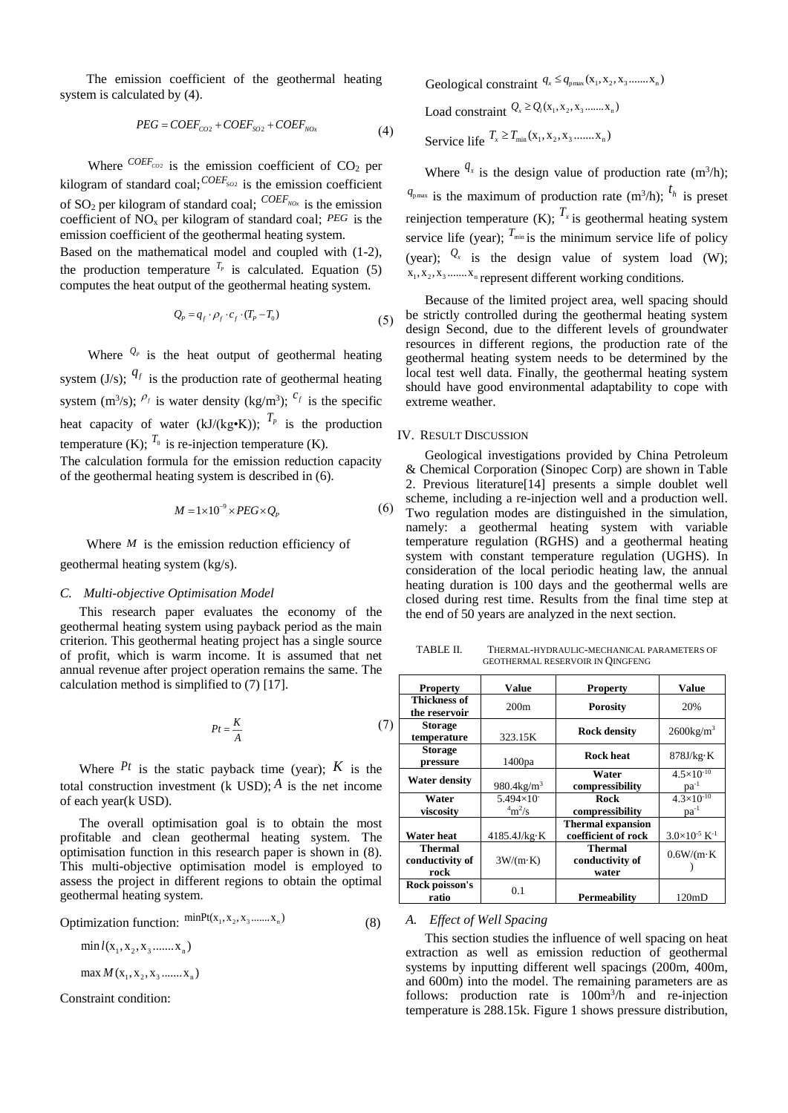The emission coefficient of the geothermal heating system is calculated by (4).

$$
PEG = COEF_{CO2} + COEF_{SO2} + COEF_{NOx}
$$
\n
$$
(4)
$$

Where  $^{COEF_{CO2}}$  is the emission coefficient of  $CO<sub>2</sub>$  per kilogram of standard coal;  $^{COEF_{SO2}}$  is the emission coefficient of SO<sup>2</sup> per kilogram of standard coal; *COEFNOx* is the emission coefficient of  $NO_x$  per kilogram of standard coal;  $PEG$  is the emission coefficient of the geothermal heating system. Based on the mathematical model and coupled with (1-2), the production temperature  $^{T_p}$  is calculated. Equation (5)

computes the heat output of the geothermal heating system.

$$
Q_p = q_f \cdot \rho_f \cdot c_f \cdot (T_p - T_0)
$$

Where  $\mathcal{Q}_P$  is the heat output of geothermal heating system (J/s);  $q_f$  is the production rate of geothermal heating system (m<sup>3</sup>/s);  $\rho_f$  is water density (kg/m<sup>3</sup>);  $c_f$  is the specific heat capacity of water (kJ/(kg•K));  $T_p$  is the production temperature (K);  $^{T_0}$  is re-injection temperature (K). The calculation formula for the emission reduction capacity

of the geothermal heating system is described in (6).

$$
M = 1 \times 10^{-9} \times PEG \times Q_p \tag{6}
$$

Where  $M$  is the emission reduction efficiency of geothermal heating system (kg/s).

#### *C. Multi-objective Optimisation Model*

This research paper evaluates the economy of the geothermal heating system using payback period as the main criterion. This geothermal heating project has a single source of profit, which is warm income. It is assumed that net annual revenue after project operation remains the same. The calculation method is simplified to (7) [17].

$$
Pt = \frac{K}{A} \tag{7}
$$

Where  $P_t$  is the static payback time (year);  $K$  is the total construction investment (k USD);  $\hat{A}$  is the net income of each year(k USD).

The overall optimisation goal is to obtain the most profitable and clean geothermal heating system. The optimisation function in this research paper is shown in (8). This multi-objective optimisation model is employed to assess the project in different regions to obtain the optimal geothermal heating system.

Optimization function:  $\frac{\text{minPt}(X_1, X_2, X_3, \dots, X_n)}{X_n}$ (8)

 $\min l(x_1, x_2, x_3, \ldots, x_n)$ 

 $max M(x_1, x_2, x_3, \ldots, x_n)$ 

Constraint condition:

Geological constraint  $q_x \leq q_{\text{max}}(x_1, x_2, x_3, \dots, x_n)$ 

$$
Load constraint Q_x \ge Q_i(x_1, x_2, x_3 \dots x_n)
$$

Service life  $T_x \ge T_{min}(x_1, x_2, x_3, \dots, x_n)$ 

Where  $q_x$  is the design value of production rate (m<sup>3</sup>/h);  $q_{\text{pmax}}$  is the maximum of production rate (m<sup>3</sup>/h);  $t_h$  is preset reinjection temperature (K);  $T_{\text{x}}$  is geothermal heating system service life (year);  $T_{min}$  is the minimum service life of policy (year);  $Q_x$  is the design value of system load (W);  $X_1, X_2, X_3, \ldots, X_n$  represent different working conditions.

Because of the limited project area, well spacing should be strictly controlled during the geothermal heating system design Second, due to the different levels of groundwater resources in different regions, the production rate of the geothermal heating system needs to be determined by the local test well data. Finally, the geothermal heating system should have good environmental adaptability to cope with extreme weather.

# IV. RESULT DISCUSSION

 $(5)$ 

Geological investigations provided by China Petroleum & Chemical Corporation (Sinopec Corp) are shown in Table 2. Previous literature[14] presents a simple doublet well scheme, including a re-injection well and a production well. Two regulation modes are distinguished in the simulation, namely: a geothermal heating system with variable temperature regulation (RGHS) and a geothermal heating system with constant temperature regulation (UGHS). In consideration of the local periodic heating law, the annual heating duration is 100 days and the geothermal wells are closed during rest time. Results from the final time step at the end of 50 years are analyzed in the next section.

TABLE II. THERMAL-HYDRAULIC-MECHANICAL PARAMETERS OF GEOTHERMAL RESERVOIR IN QINGFENG

| <b>Property</b>                           | Value                            | <b>Property</b>                                 | <b>Value</b>                       |
|-------------------------------------------|----------------------------------|-------------------------------------------------|------------------------------------|
| <b>Thickness of</b><br>the reservoir      | 200m                             | <b>Porosity</b>                                 | 20%                                |
| <b>Storage</b><br>temperature             | 323.15K                          | <b>Rock density</b>                             | $2600$ kg/m <sup>3</sup>           |
| <b>Storage</b><br>pressure                | 1400pa                           | <b>Rock heat</b>                                | 878J/kg·K                          |
| Water density                             | 980.4 $kg/m^3$                   | Water<br>compressibility                        | $4.5 \times 10^{-10}$<br>$pa^{-1}$ |
| Water<br>viscosity                        | $5.494\times10^{-7}$<br>$4m^2/s$ | Rock<br>compressibility                         | $4.3\times10^{-10}$<br>$pa^{-1}$   |
| Water heat                                | $4185.4$ J/kg·K                  | <b>Thermal expansion</b><br>coefficient of rock | $3.0\times10^{-5}$ K <sup>-1</sup> |
| <b>Thermal</b><br>conductivity of<br>rock | $3W/(m \cdot K)$                 | Thermal<br>conductivity of<br>water             | $0.6W/(m \cdot K)$                 |
| Rock poisson's<br>ratio                   | 0.1                              | Permeability                                    | 120mD                              |

# *A. Effect of Well Spacing*

This section studies the influence of well spacing on heat extraction as well as emission reduction of geothermal systems by inputting different well spacings (200m, 400m, and 600m) into the model. The remaining parameters are as follows: production rate is  $100m^3/h$  and re-injection temperature is 288.15k. Figure 1 shows pressure distribution,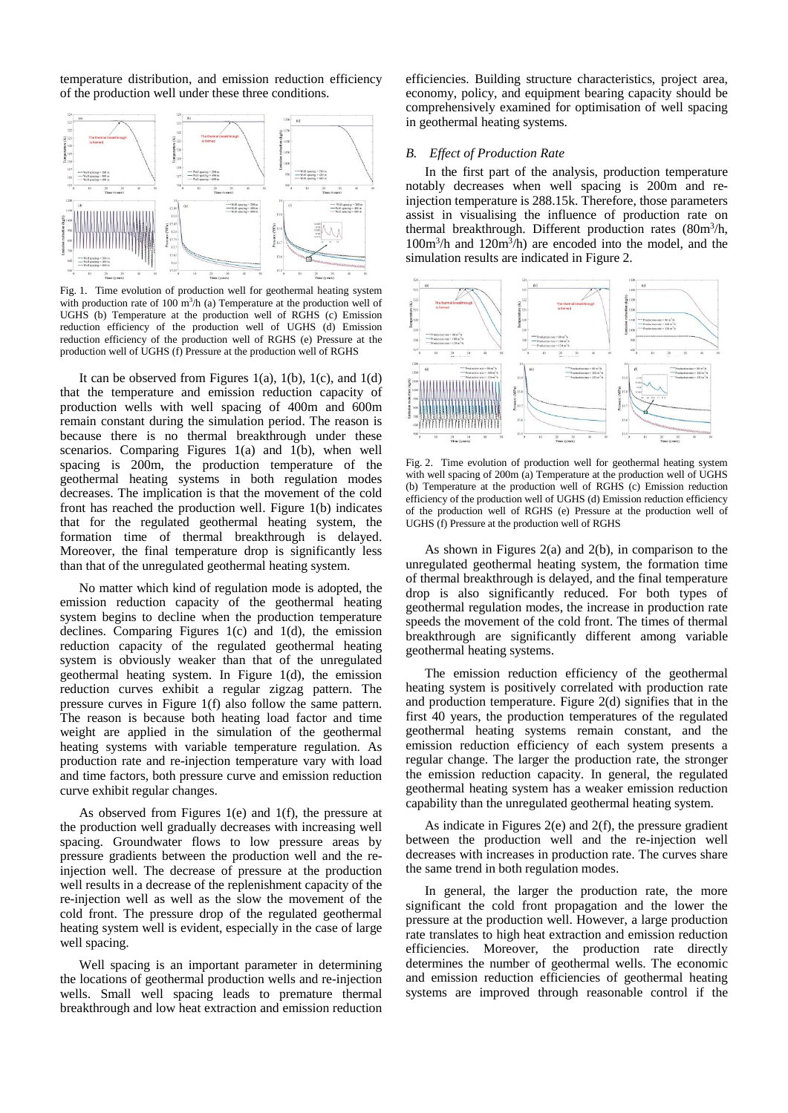temperature distribution, and emission reduction efficiency of the production well under these three conditions.



Fig. 1. Time evolution of production well for geothermal heating system with production rate of 100  $m<sup>3</sup>/h$  (a) Temperature at the production well of UGHS (b) Temperature at the production well of RGHS (c) Emission reduction efficiency of the production well of UGHS (d) Emission reduction efficiency of the production well of RGHS (e) Pressure at the production well of UGHS (f) Pressure at the production well of RGHS

It can be observed from Figures 1(a), 1(b), 1(c), and 1(d) that the temperature and emission reduction capacity of production wells with well spacing of 400m and 600m remain constant during the simulation period. The reason is because there is no thermal breakthrough under these scenarios. Comparing Figures 1(a) and 1(b), when well spacing is 200m, the production temperature of the geothermal heating systems in both regulation modes decreases. The implication is that the movement of the cold front has reached the production well. Figure 1(b) indicates that for the regulated geothermal heating system, the formation time of thermal breakthrough is delayed. Moreover, the final temperature drop is significantly less than that of the unregulated geothermal heating system.

No matter which kind of regulation mode is adopted, the emission reduction capacity of the geothermal heating system begins to decline when the production temperature declines. Comparing Figures 1(c) and 1(d), the emission reduction capacity of the regulated geothermal heating system is obviously weaker than that of the unregulated geothermal heating system. In Figure 1(d), the emission reduction curves exhibit a regular zigzag pattern. The pressure curves in Figure 1(f) also follow the same pattern. The reason is because both heating load factor and time weight are applied in the simulation of the geothermal heating systems with variable temperature regulation. As production rate and re-injection temperature vary with load and time factors, both pressure curve and emission reduction curve exhibit regular changes.

As observed from Figures 1(e) and 1(f), the pressure at the production well gradually decreases with increasing well spacing. Groundwater flows to low pressure areas by pressure gradients between the production well and the reinjection well. The decrease of pressure at the production well results in a decrease of the replenishment capacity of the re-injection well as well as the slow the movement of the cold front. The pressure drop of the regulated geothermal heating system well is evident, especially in the case of large well spacing.

Well spacing is an important parameter in determining the locations of geothermal production wells and re-injection wells. Small well spacing leads to premature thermal breakthrough and low heat extraction and emission reduction

efficiencies. Building structure characteristics, project area, economy, policy, and equipment bearing capacity should be comprehensively examined for optimisation of well spacing in geothermal heating systems.

# *B. Effect of Production Rate*

In the first part of the analysis, production temperature notably decreases when well spacing is 200m and reinjection temperature is 288.15k. Therefore, those parameters assist in visualising the influence of production rate on thermal breakthrough. Different production rates (80m<sup>3</sup>/h,  $100m<sup>3</sup>/h$  and  $120m<sup>3</sup>/h$ ) are encoded into the model, and the simulation results are indicated in Figure 2.



Fig. 2. Time evolution of production well for geothermal heating system with well spacing of 200m (a) Temperature at the production well of UGHS (b) Temperature at the production well of RGHS (c) Emission reduction efficiency of the production well of UGHS (d) Emission reduction efficiency of the production well of RGHS (e) Pressure at the production well of UGHS (f) Pressure at the production well of RGHS

As shown in Figures 2(a) and 2(b), in comparison to the unregulated geothermal heating system, the formation time of thermal breakthrough is delayed, and the final temperature drop is also significantly reduced. For both types of geothermal regulation modes, the increase in production rate speeds the movement of the cold front. The times of thermal breakthrough are significantly different among variable geothermal heating systems.

The emission reduction efficiency of the geothermal heating system is positively correlated with production rate and production temperature. Figure 2(d) signifies that in the first 40 years, the production temperatures of the regulated geothermal heating systems remain constant, and the emission reduction efficiency of each system presents a regular change. The larger the production rate, the stronger the emission reduction capacity. In general, the regulated geothermal heating system has a weaker emission reduction capability than the unregulated geothermal heating system.

As indicate in Figures 2(e) and 2(f), the pressure gradient between the production well and the re-injection well decreases with increases in production rate. The curves share the same trend in both regulation modes.

In general, the larger the production rate, the more significant the cold front propagation and the lower the pressure at the production well. However, a large production rate translates to high heat extraction and emission reduction efficiencies. Moreover, the production rate directly determines the number of geothermal wells. The economic and emission reduction efficiencies of geothermal heating systems are improved through reasonable control if the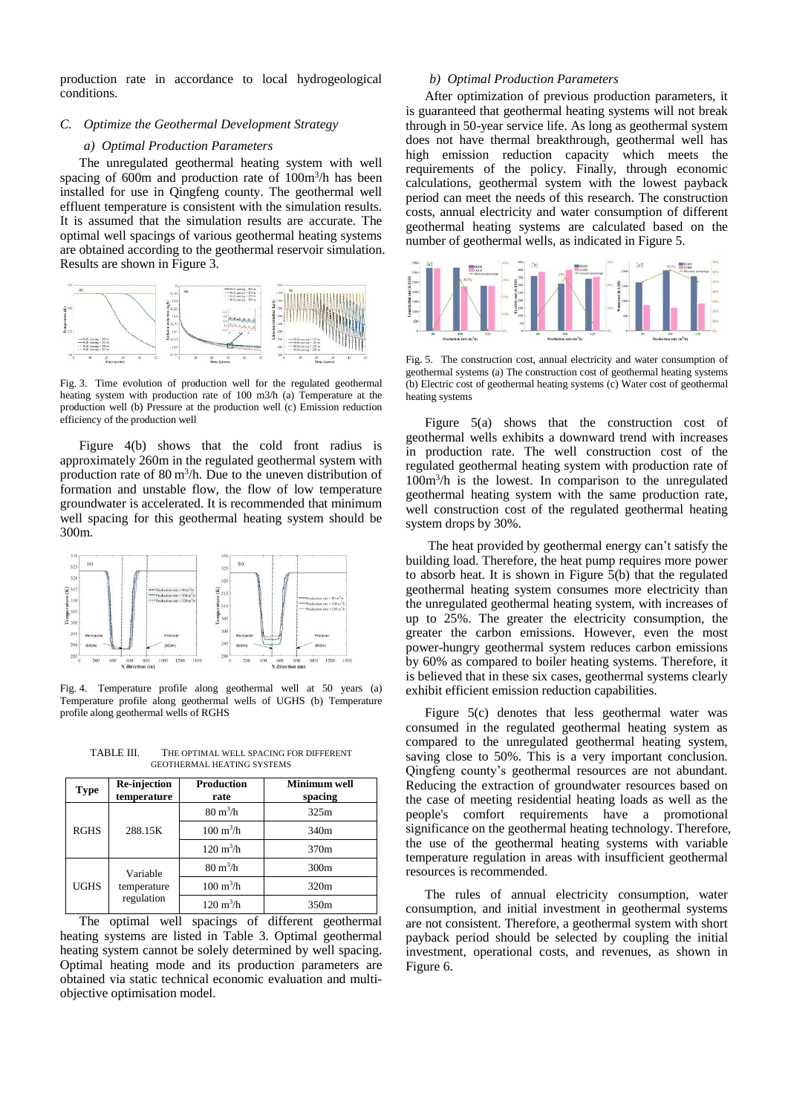production rate in accordance to local hydrogeological conditions.

# *C. Optimize the Geothermal Development Strategy*

#### *a) Optimal Production Parameters*

The unregulated geothermal heating system with well spacing of 600m and production rate of 100m<sup>3</sup>/h has been installed for use in Qingfeng county. The geothermal well effluent temperature is consistent with the simulation results. It is assumed that the simulation results are accurate. The optimal well spacings of various geothermal heating systems are obtained according to the geothermal reservoir simulation. Results are shown in Figure 3.



Fig. 3. Time evolution of production well for the regulated geothermal heating system with production rate of 100 m3/h (a) Temperature at the production well (b) Pressure at the production well (c) Emission reduction efficiency of the production well

Figure 4(b) shows that the cold front radius is approximately 260m in the regulated geothermal system with production rate of 80 m<sup>3</sup>/h. Due to the uneven distribution of formation and unstable flow, the flow of low temperature groundwater is accelerated. It is recommended that minimum well spacing for this geothermal heating system should be 300m.



Fig. 4. Temperature profile along geothermal well at 50 years (a) Temperature profile along geothermal wells of UGHS (b) Temperature profile along geothermal wells of RGHS

TABLE III. THE OPTIMAL WELL SPACING FOR DIFFERENT GEOTHERMAL HEATING SYSTEMS

| <b>Type</b> | Re-injection<br>temperature           | <b>Production</b><br>rate  | Minimum well<br>spacing |
|-------------|---------------------------------------|----------------------------|-------------------------|
| <b>RGHS</b> | 288.15K                               | $80 \text{ m}^3/\text{h}$  | 325m                    |
|             |                                       | $100 \text{ m}^3/\text{h}$ | 340 <sub>m</sub>        |
|             |                                       | $120 \text{ m}^3/\text{h}$ | 370m                    |
| <b>UGHS</b> | Variable<br>temperature<br>regulation | $80 \text{ m}^3/\text{h}$  | 300 <sub>m</sub>        |
|             |                                       | $100 \text{ m}^3/\text{h}$ | 320m                    |
|             |                                       | $120 \text{ m}^3/\text{h}$ | 350 <sub>m</sub>        |

The optimal well spacings of different geothermal heating systems are listed in Table 3. Optimal geothermal heating system cannot be solely determined by well spacing. Optimal heating mode and its production parameters are obtained via static technical economic evaluation and multiobjective optimisation model.

# *b) Optimal Production Parameters*

After optimization of previous production parameters, it is guaranteed that geothermal heating systems will not break through in 50-year service life. As long as geothermal system does not have thermal breakthrough, geothermal well has high emission reduction capacity which meets the requirements of the policy. Finally, through economic calculations, geothermal system with the lowest payback period can meet the needs of this research. The construction costs, annual electricity and water consumption of different geothermal heating systems are calculated based on the number of geothermal wells, as indicated in Figure 5.



Fig. 5. The construction cost, annual electricity and water consumption of geothermal systems (a) The construction cost of geothermal heating systems (b) Electric cost of geothermal heating systems (c) Water cost of geothermal heating systems

Figure 5(a) shows that the construction cost of geothermal wells exhibits a downward trend with increases in production rate. The well construction cost of the regulated geothermal heating system with production rate of 100m<sup>3</sup> /h is the lowest. In comparison to the unregulated geothermal heating system with the same production rate, well construction cost of the regulated geothermal heating system drops by 30%.

The heat provided by geothermal energy can't satisfy the building load. Therefore, the heat pump requires more power to absorb heat. It is shown in Figure 5(b) that the regulated geothermal heating system consumes more electricity than the unregulated geothermal heating system, with increases of up to 25%. The greater the electricity consumption, the greater the carbon emissions. However, even the most power-hungry geothermal system reduces carbon emissions by 60% as compared to boiler heating systems. Therefore, it is believed that in these six cases, geothermal systems clearly exhibit efficient emission reduction capabilities.

Figure 5(c) denotes that less geothermal water was consumed in the regulated geothermal heating system as compared to the unregulated geothermal heating system, saving close to 50%. This is a very important conclusion. Qingfeng county's geothermal resources are not abundant. Reducing the extraction of groundwater resources based on the case of meeting residential heating loads as well as the people's comfort requirements have a promotional significance on the geothermal heating technology. Therefore, the use of the geothermal heating systems with variable temperature regulation in areas with insufficient geothermal resources is recommended.

The rules of annual electricity consumption, water consumption, and initial investment in geothermal systems are not consistent. Therefore, a geothermal system with short payback period should be selected by coupling the initial investment, operational costs, and revenues, as shown in Figure 6.